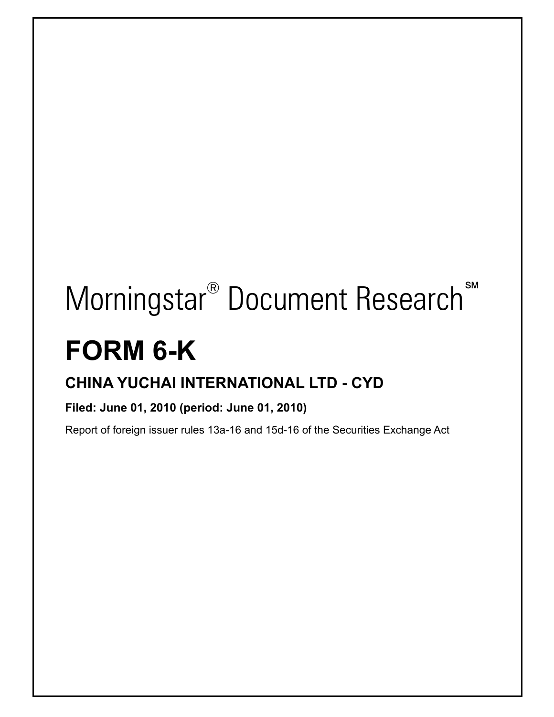# **Morningstar<sup>®</sup> Document Research**<sup>™</sup>

# **FORM 6-K**

 $\overline{\phantom{a}}$ 

# **CHINA YUCHAI INTERNATIONAL LTD - CYD**

## **Filed: June 01, 2010 (period: June 01, 2010)**

Report of foreign issuer rules 13a-16 and 15d-16 of the Securities Exchange Act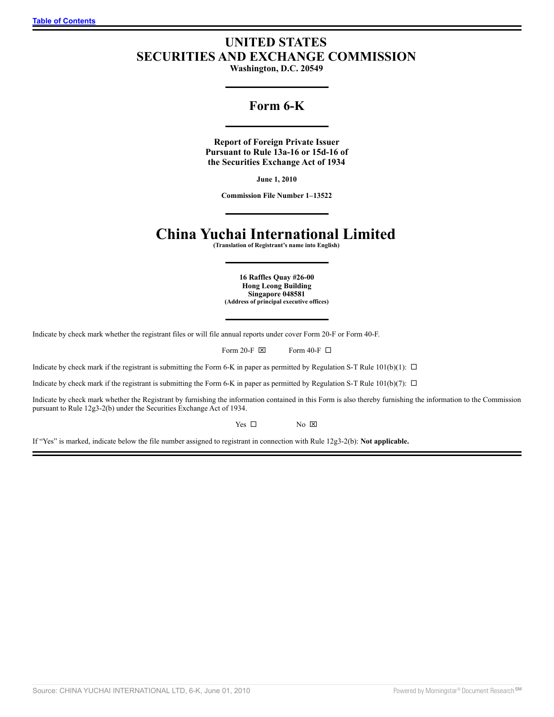### **UNITED STATES SECURITIES AND EXCHANGE COMMISSION**

**Washington, D.C. 20549**

#### **Form 6-K**

**Report of Foreign Private Issuer Pursuant to Rule 13a-16 or 15d-16 of the Securities Exchange Act of 1934**

**June 1, 2010**

**Commission File Number 1–13522**

# **China Yuchai International Limited**

**(Translation of Registrant's name into English)**

**16 Raffles Quay #26-00 Hong Leong Building Singapore 048581 (Address of principal executive offices)**

Indicate by check mark whether the registrant files or will file annual reports under cover Form 20-F or Form 40-F.

Form 20-F  $\boxtimes$  Form 40-F  $\Box$ 

Indicate by check mark if the registrant is submitting the Form 6-K in paper as permitted by Regulation S-T Rule 101(b)(1):  $\Box$ 

Indicate by check mark if the registrant is submitting the Form 6-K in paper as permitted by Regulation S-T Rule 101(b)(7):  $\Box$ 

Indicate by check mark whether the Registrant by furnishing the information contained in this Form is also thereby furnishing the information to the Commission pursuant to Rule 12g3-2(b) under the Securities Exchange Act of 1934.

Yes  $\square$  No  $\square$ 

If "Yes" is marked, indicate below the file number assigned to registrant in connection with Rule 12g3-2(b): **Not applicable.**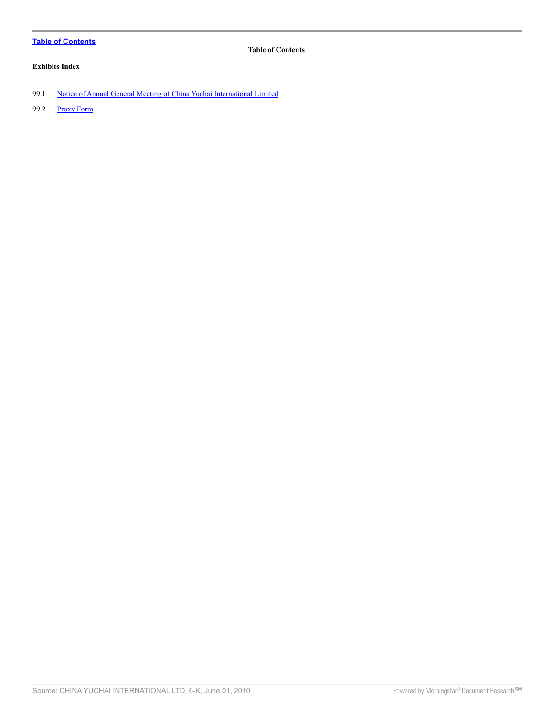#### <span id="page-2-0"></span>**Table of Contents**

#### **Table of Contents**

#### **Exhibits Index**

99.1 [Notice of Annual General Meeting of China Yuchai International Limited](#page-4-0)

99.2 [Proxy Form](#page-6-0)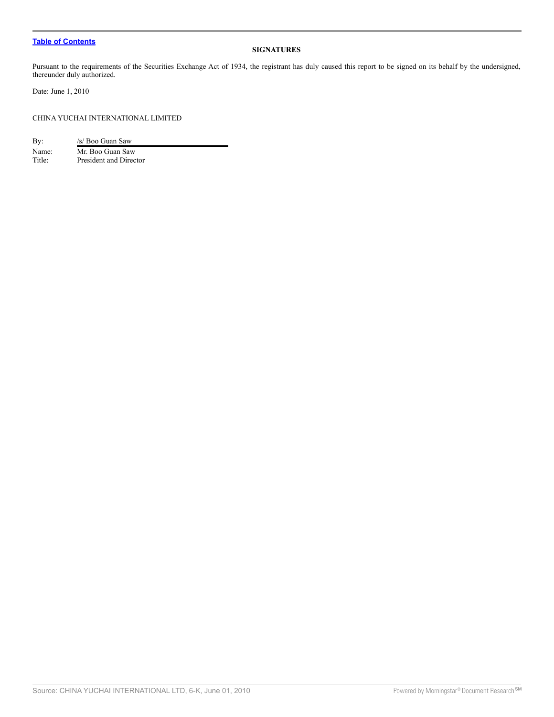#### **[Table of Contents](#page-2-0)**

#### **SIGNATURES**

Pursuant to the requirements of the Securities Exchange Act of 1934, the registrant has duly caused this report to be signed on its behalf by the undersigned, thereunder duly authorized.

Date: June 1, 2010

#### CHINA YUCHAI INTERNATIONAL LIMITED

By: /s/ Boo Guan Saw Name: Mr. Boo Guan Saw<br>Title: President and Direc President and Director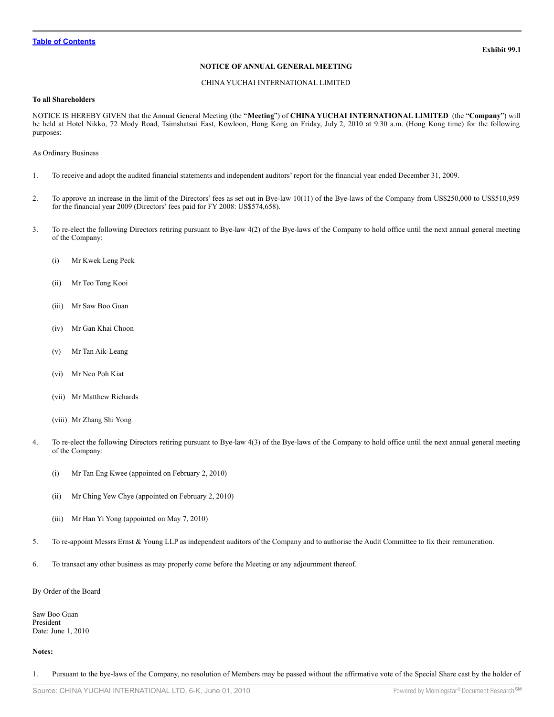#### **NOTICE OF ANNUAL GENERAL MEETING**

#### CHINA YUCHAI INTERNATIONAL LIMITED

#### <span id="page-4-0"></span>**To all Shareholders**

NOTICE IS HEREBY GIVEN that the Annual General Meeting (the "**Meeting**") of **CHINA YUCHAI INTERNATIONAL LIMITED** (the "**Company**") will be held at Hotel Nikko, 72 Mody Road, Tsimshatsui East, Kowloon, Hong Kong on Friday, July 2, 2010 at 9.30 a.m. (Hong Kong time) for the following purposes:

#### As Ordinary Business

- 1. To receive and adopt the audited financial statements and independent auditors' report for the financial year ended December 31, 2009.
- 2. To approve an increase in the limit of the Directors' fees as set out in Bye-law 10(11) of the Bye-laws of the Company from US\$250,000 to US\$510,959 for the financial year 2009 (Directors' fees paid for FY 2008: US\$574,658).
- 3. To re-elect the following Directors retiring pursuant to Bye-law 4(2) of the Bye-laws of the Company to hold office until the next annual general meeting of the Company:
	- (i) Mr Kwek Leng Peck
	- (ii) Mr Teo Tong Kooi
	- (iii) Mr Saw Boo Guan
	- (iv) Mr Gan Khai Choon
	- (v) Mr Tan Aik-Leang
	- (vi) Mr Neo Poh Kiat
	- (vii) Mr Matthew Richards
	- (viii) Mr Zhang Shi Yong
- 4. To re-elect the following Directors retiring pursuant to Bye-law 4(3) of the Bye-laws of the Company to hold office until the next annual general meeting of the Company:
	- (i) Mr Tan Eng Kwee (appointed on February 2, 2010)
	- (ii) Mr Ching Yew Chye (appointed on February 2, 2010)
	- (iii) Mr Han Yi Yong (appointed on May 7, 2010)
- 5. To re-appoint Messrs Ernst & Young LLP as independent auditors of the Company and to authorise the Audit Committee to fix their remuneration.
- 6. To transact any other business as may properly come before the Meeting or any adjournment thereof.

By Order of the Board

Saw Boo Guan President Date: June 1, 2010

#### **Notes:**

1. Pursuant to the bye-laws of the Company, no resolution of Members may be passed without the affirmative vote of the Special Share cast by the holder of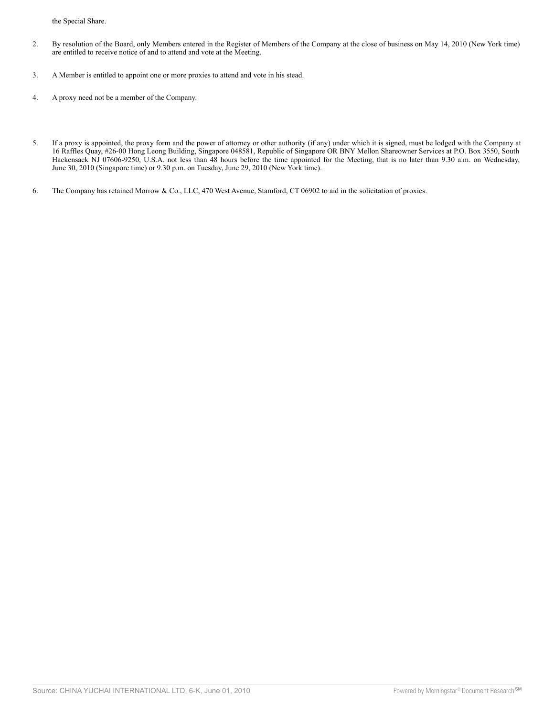the Special Share.

- 2. By resolution of the Board, only Members entered in the Register of Members of the Company at the close of business on May 14, 2010 (New York time) are entitled to receive notice of and to attend and vote at the Meeting.
- 3. A Member is entitled to appoint one or more proxies to attend and vote in his stead.
- 4. A proxy need not be a member of the Company.
- 5. If a proxy is appointed, the proxy form and the power of attorney or other authority (if any) under which it is signed, must be lodged with the Company at 16 Raffles Quay, #26-00 Hong Leong Building, Singapore 048581, Republic of Singapore OR BNY Mellon Shareowner Services at P.O. Box 3550, South Hackensack NJ 07606-9250, U.S.A. not less than 48 hours before the time appointed for the Meeting, that is no later than 9.30 a.m. on Wednesday, June 30, 2010 (Singapore time) or 9.30 p.m. on Tuesday, June 29, 2010 (New York time).
- 6. The Company has retained Morrow & Co., LLC, 470 West Avenue, Stamford, CT 06902 to aid in the solicitation of proxies.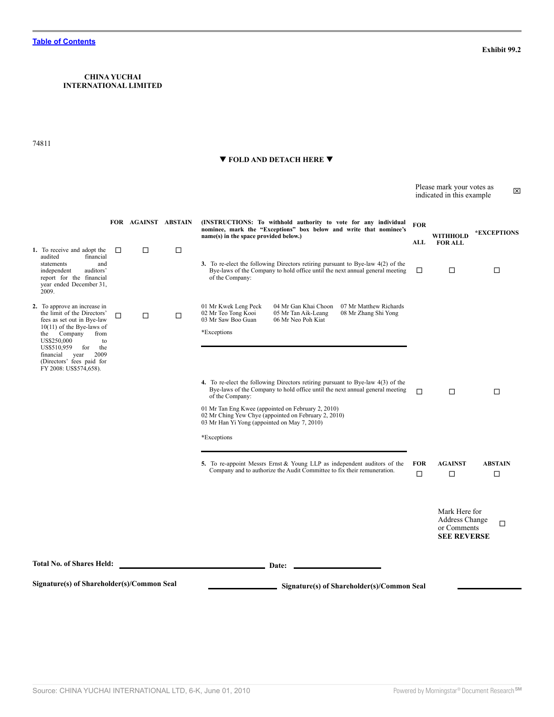<span id="page-6-0"></span>**CHINA YUCHAI INTERNATIONAL LIMITED**

#### � **FOLD AND DETACH HERE** �

|                                                                                                                                                                                                                                                                                          |        |                          |   |                                                                                                                                                                                                                                                                                            |                   | Please mark your votes as<br>indicated in this example.              |                     |
|------------------------------------------------------------------------------------------------------------------------------------------------------------------------------------------------------------------------------------------------------------------------------------------|--------|--------------------------|---|--------------------------------------------------------------------------------------------------------------------------------------------------------------------------------------------------------------------------------------------------------------------------------------------|-------------------|----------------------------------------------------------------------|---------------------|
| 1. To receive and adopt the                                                                                                                                                                                                                                                              | $\Box$ | FOR AGAINST ABSTAIN<br>□ | □ | (INSTRUCTIONS: To withhold authority to vote for any individual<br>nominee, mark the "Exceptions" box below and write that nominee's<br>name(s) in the space provided below.)                                                                                                              | <b>FOR</b><br>ALL | WITHHOLD<br><b>FOR ALL</b>                                           | *EXCEPTIONS         |
| audited<br>financial<br>statements<br>and<br>independent<br>auditors'<br>report for the financial<br>year ended December 31,<br>2009.                                                                                                                                                    |        |                          |   | 3. To re-elect the following Directors retiring pursuant to Bye-law 4(2) of the<br>Bye-laws of the Company to hold office until the next annual general meeting<br>of the Company:                                                                                                         | □                 | □                                                                    | □                   |
| 2. To approve an increase in<br>the limit of the Directors'<br>fees as set out in Bye-law<br>$10(11)$ of the Bye-laws of<br>Company<br>from<br>the<br>US\$250,000<br>to<br>US\$510,959<br>the<br>for<br>financial<br>year<br>2009<br>(Directors' fees paid for<br>FY 2008: US\$574,658). | □      | □                        | □ | 04 Mr Gan Khai Choon<br>07 Mr Matthew Richards<br>01 Mr Kwek Leng Peck<br>02 Mr Teo Tong Kooi<br>05 Mr Tan Aik-Leang<br>08 Mr Zhang Shi Yong<br>03 Mr Saw Boo Guan<br>06 Mr Neo Poh Kiat<br>*Exceptions<br>4. To re-elect the following Directors retiring pursuant to Bye-law 4(3) of the |                   |                                                                      |                     |
|                                                                                                                                                                                                                                                                                          |        |                          |   | Bye-laws of the Company to hold office until the next annual general meeting<br>of the Company:<br>01 Mr Tan Eng Kwee (appointed on February 2, 2010)<br>02 Mr Ching Yew Chye (appointed on February 2, 2010)<br>03 Mr Han Yi Yong (appointed on May 7, 2010)<br>*Exceptions               |                   | □                                                                    | □                   |
|                                                                                                                                                                                                                                                                                          |        |                          |   | 5. To re-appoint Messrs Ernst & Young LLP as independent auditors of the<br>Company and to authorize the Audit Committee to fix their remuneration.                                                                                                                                        | <b>FOR</b><br>□   | <b>AGAINST</b><br>□                                                  | <b>ABSTAIN</b><br>□ |
|                                                                                                                                                                                                                                                                                          |        |                          |   |                                                                                                                                                                                                                                                                                            |                   | Mark Here for<br>Address Change<br>or Comments<br><b>SEE REVERSE</b> | □                   |
| <b>Total No. of Shares Held:</b>                                                                                                                                                                                                                                                         |        |                          |   | Date:                                                                                                                                                                                                                                                                                      |                   |                                                                      |                     |
| Signature(s) of Shareholder(s)/Common Seal                                                                                                                                                                                                                                               |        |                          |   | Signature(s) of Shareholder(s)/Common Seal                                                                                                                                                                                                                                                 |                   |                                                                      |                     |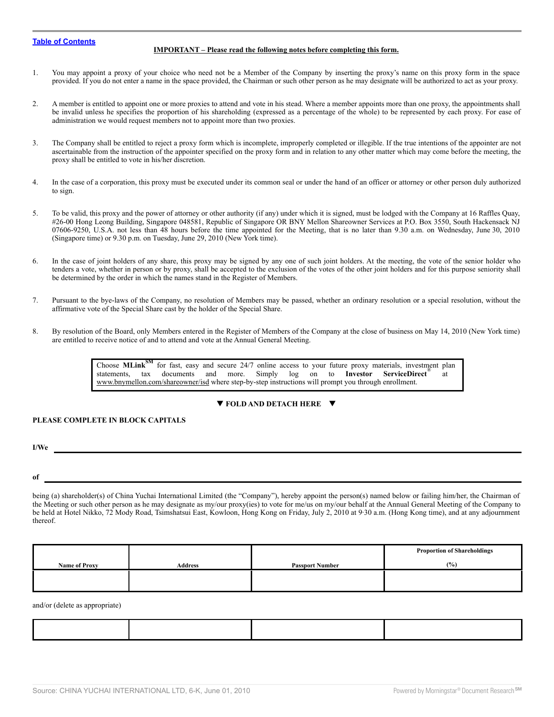#### **[Table of Contents](#page-2-0)**

#### **IMPORTANT – Please read the following notes before completing this form.**

- 1. You may appoint a proxy of your choice who need not be a Member of the Company by inserting the proxy's name on this proxy form in the space provided. If you do not enter a name in the space provided, the Chairman or such other person as he may designate will be authorized to act as your proxy.
- 2. A member is entitled to appoint one or more proxies to attend and vote in his stead. Where a member appoints more than one proxy, the appointments shall be invalid unless he specifies the proportion of his shareholding (expressed as a percentage of the whole) to be represented by each proxy. For ease of administration we would request members not to appoint more than two proxies.
- 3. The Company shall be entitled to reject a proxy form which is incomplete, improperly completed or illegible. If the true intentions of the appointer are not ascertainable from the instruction of the appointer specified on the proxy form and in relation to any other matter which may come before the meeting, the proxy shall be entitled to vote in his/her discretion.
- 4. In the case of a corporation, this proxy must be executed under its common seal or under the hand of an officer or attorney or other person duly authorized to sign.
- 5. To be valid, this proxy and the power of attorney or other authority (if any) under which it is signed, must be lodged with the Company at 16 Raffles Quay, #26-00 Hong Leong Building, Singapore 048581, Republic of Singapore OR BNY Mellon Shareowner Services at P.O. Box 3550, South Hackensack NJ 07606-9250, U.S.A. not less than 48 hours before the time appointed for the Meeting, that is no later than 9.30 a.m. on Wednesday, June 30, 2010 (Singapore time) or 9.30 p.m. on Tuesday, June 29, 2010 (New York time).
- 6. In the case of joint holders of any share, this proxy may be signed by any one of such joint holders. At the meeting, the vote of the senior holder who tenders a vote, whether in person or by proxy, shall be accepted to the exclusion of the votes of the other joint holders and for this purpose seniority shall be determined by the order in which the names stand in the Register of Members.
- 7. Pursuant to the bye-laws of the Company, no resolution of Members may be passed, whether an ordinary resolution or a special resolution, without the affirmative vote of the Special Share cast by the holder of the Special Share.
- 8. By resolution of the Board, only Members entered in the Register of Members of the Company at the close of business on May 14, 2010 (New York time) are entitled to receive notice of and to attend and vote at the Annual General Meeting.

Choose **MLinkSM** for fast, easy and secure 24/7 online access to your future proxy materials, investment plan statements, tax documents and more. Simply log on to **Investor ServiceDirect**® at www.bnymellon.com/shareowner/isd where step-by-step instructions will prompt you through enrollment.

#### � **FOLD AND DETACH HERE** �

#### **PLEASE COMPLETE IN BLOCK CAPITALS**

**I/We**

**of**

being (a) shareholder(s) of China Yuchai International Limited (the "Company"), hereby appoint the person(s) named below or failing him/her, the Chairman of the Meeting or such other person as he may designate as my/our proxy(ies) to vote for me/us on my/our behalf at the Annual General Meeting of the Company to be held at Hotel Nikko, 72 Mody Road, Tsimshatsui East, Kowloon, Hong Kong on Friday, July 2, 2010 at 9·30 a.m. (Hong Kong time), and at any adjournment thereof.

|                      |                |                        | <b>Proportion of Shareholdings</b> |
|----------------------|----------------|------------------------|------------------------------------|
| <b>Name of Proxy</b> | <b>Address</b> | <b>Passport Number</b> | (%)                                |
|                      |                |                        |                                    |
|                      |                |                        |                                    |

and/or (delete as appropriate)